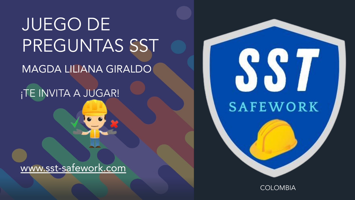**JUEGO DE** PREGUNTAS SST MAGDA LILIANA GIRALDO

¡TE INVITA A JUGAR!

www.sst-safework.com



**COLOMBIA**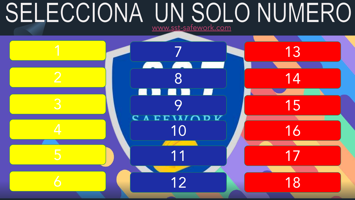# <span id="page-1-0"></span>SELECCIONA UN SOLO NUMERO

[www.sst-safework.com](https://sst-safework.com/)

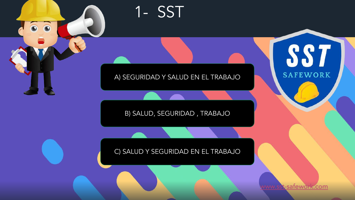<span id="page-2-0"></span>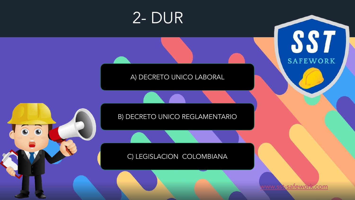<span id="page-3-0"></span>

#### C) LEGISLACION COLOMBIANA

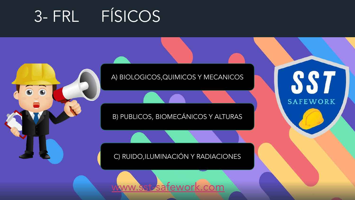### <span id="page-4-0"></span>3- FRL FÍSICOS



A) BIOLOGICOS, QUIMICOS Y MECANICOS

B) PUBLICOS, BIOMECÁNICOS Y ALTURAS

#### C) RUIDO, ILUMINACIÓN Y RADIACIONES



SS<sub>7</sub> **SAFEWORK**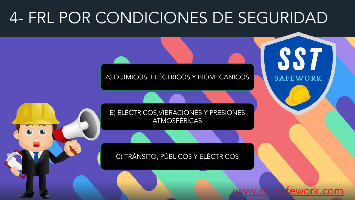### <span id="page-5-0"></span>4- FRL POR CONDICIONES DE SEGURIDAD

A) QUÍMICOS, ELÉCTRICOS Y BIOMECANICOS

B) ELÉCTRICOS, VIBRACIONES Y PRESIONES **ATMOSFÉRICAS** 

#### C) TRÁNSITO, PÚBLICOS Y ELÉCTRICOS

satework.com

887

**SAFEWORK**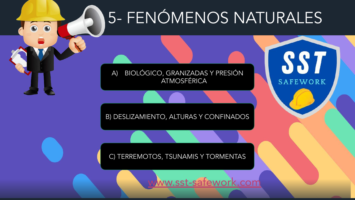# 5- FENÓMENOS NATURALES

SS<sub>7</sub>

**SAFEWORK** 

BIOLÓGICO, GRANIZADAS Y PRESIÓN  $\mathsf{A}$ ATMOSFÉRICA

<span id="page-6-0"></span> $\overline{\bullet}$ 

B) DESLIZAMIENTO, ALTURAS Y CONFINADOS

C) TERREMOTOS, TSUNAMIS Y TORMENTAS

www.sst-safework.com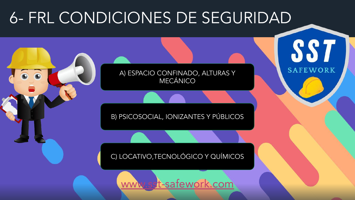### <span id="page-7-0"></span>6- FRL CONDICIONES DE SEGURIDAD

A) ESPACIO CONFINADO, ALTURAS Y **MECÁNICO** 

SS<sub>7</sub>

**SAFEWORK** 

B) PSICOSOCIAL, IONIZANTES Y PÚBLICOS

C) LOCATIVO, TECNOLÓGICO Y QUÍMICOS

st-safework.com **WWW.SS**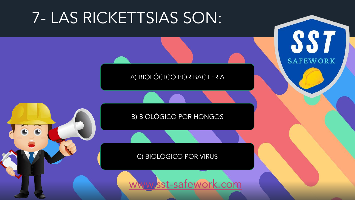### <span id="page-8-0"></span>7- LAS RICKETTSIAS SON:



**SST** 

**SAFEWORK** 

**B) BIOLÓGICO POR HONGOS** 

C) BIOLÓGICO POR VIRUS

sst-safework.com WWW.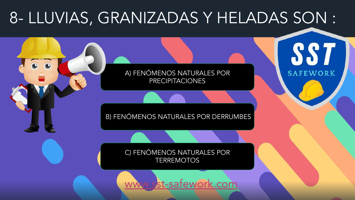# <span id="page-9-0"></span>8- LLUVIAS, GRANIZADAS Y HELADAS SON: SS<sub>7</sub> A) FENÓMENOS NATURALES POR **SAFEWORK PRECIPITACIONES** B) FENÓMENOS NATURALES POR DERRUMBES C) FENÓMENOS NATURALES POR **TERREMOTOS** st-safework.com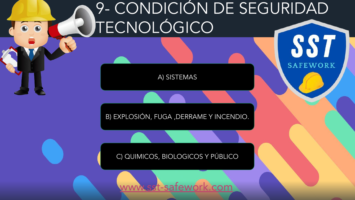# <span id="page-10-0"></span>9- CONDICIÓN DE SEGURIDAD TECNOLÓGICO SS<sub>7</sub>

**SAFEWORK** 

[A\) SISTEMAS](#page-20-0)

[B\) EXPLOSIÓN, FUGA ,DERRAME Y INCENDIO.](#page-21-0)

### 1. SST? C) QUIMICOS, BIOLOGICOS Y PÚBLICO

t-safework.com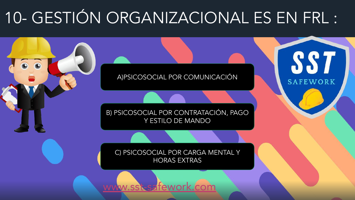# <span id="page-11-0"></span>10- GESTIÓN ORGANIZACIONAL ES EN FRL :

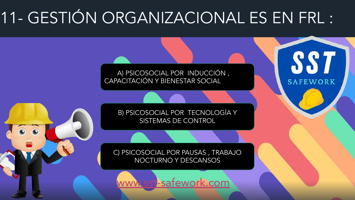# <span id="page-12-0"></span>11- GESTIÓN ORGANIZACIONAL ES EN FRL :

A) PSICOSOCIAL POR INDUCCIÓN, CAPACITACIÓN Y BIENESTAR SOCIAL

> B) PSICOSOCIAL POR TECNOLOGÍA Y SISTEMAS DE CONTROL

SS<sub>7</sub>

**SAFEWORK** 

C) PSICOSOCIAL POR PAUSAS, TRABAJO NOCTURNO Y DESCANSOS

-safework.com **WWW.SS**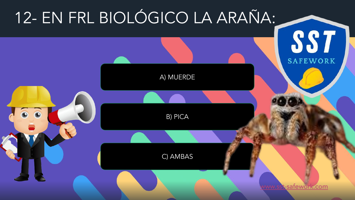<span id="page-13-0"></span>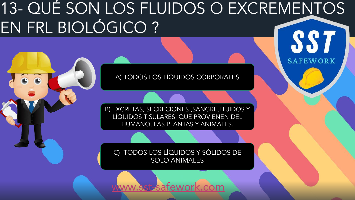### <span id="page-14-0"></span><u>13- QUÉ SON LOS FLUIDOS O EXCREMENTOS</u> EN FRL BIOLÓGICO? SS 7

A) TODOS LOS LÍQUIDOS CORPORALES

**SAFEWORK** 

B) EXCRETAS, SECRECIONES, SANGRE, TEJIDOS Y LÍQUIDOS TISULARES QUE PROVIENEN DEL HUMANO, LAS PLANTAS Y ANIMALES.

C) TODOS LOS LÍQUIDOS Y SÓLIDOS DE **SOLO ANIMALES**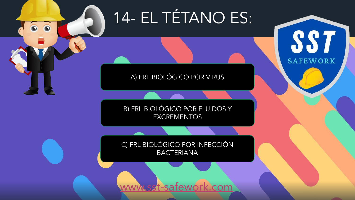<span id="page-15-0"></span>14- EL TÉTANO ES:

SS<sub>7</sub>

**SAFEWORK** 

#### A) FRL BIOLÓGICO POR VIRUS

B) FRL BIOLÓGICO POR FLUIDOS Y **EXCREMENTOS** 

C) FRL BIOLÓGICO POR INFECCIÓN **BACTERIANA** 

www.sst-safew <.com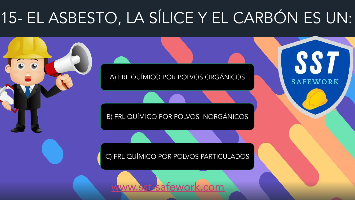# <span id="page-16-0"></span>15- EL ASBESTO, LA SÍLICE Y EL CARBÓN ES UN:

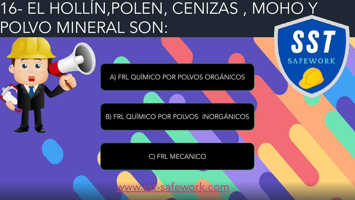### <span id="page-17-0"></span><u>16- EL HOLLÍN,POLEN, CENIZAS, MOHO Y</u> POLVO MINERAL SON: SS<sub>7</sub>

A) FRL QUÍMICO POR POLVOS ORGÁNICOS

**SAFEWORK** 

B) FRL QUÍMICO POR POLVOS INORGÁNICOS

C) FRL MECANICO

-safewo com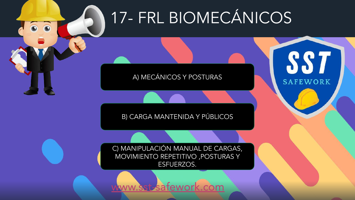# <span id="page-18-0"></span>17- FRL BIOMECÁNICOS

SS<sub>7</sub>

**SAFEWORK** 

A) MECÁNICOS Y POSTURAS

B) CARGA MANTENIDA Y PÚBLICOS

C) MANIPULACIÓN MANUAL DE CARGAS, MOVIMIENTO REPETITIVO , POSTURAS Y ESFUERZOS.

om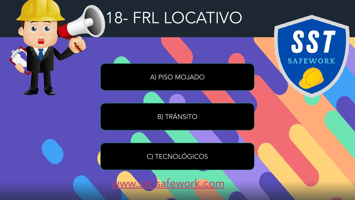<span id="page-19-0"></span>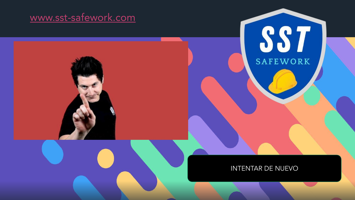#### <span id="page-20-0"></span>www.sst-safework.com



#### **INTENTAR DE NUEVO**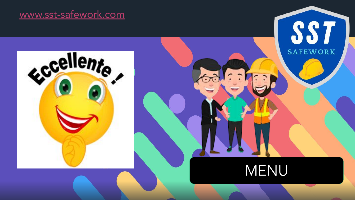#### <span id="page-21-0"></span>www.sst-safework.com